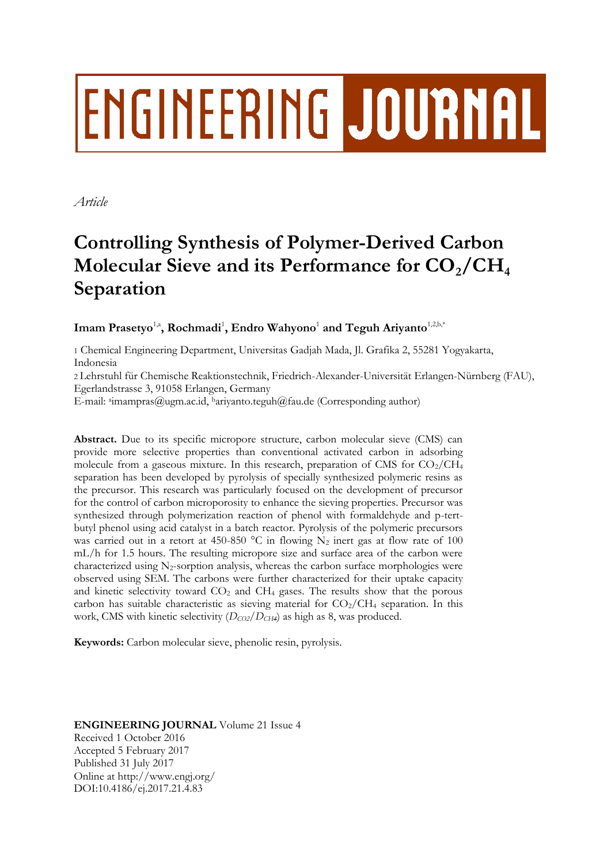# **ENGINEERING JOURNAL**

*Article*

# **Controlling Synthesis of Polymer-Derived Carbon Molecular Sieve and its Performance for CO2/CH<sup>4</sup> Separation**

Imam Prasetyo<sup>1,a</sup>, Rochmadi<sup>1</sup>, Endro Wahyono<sup>1</sup> and Teguh Ariyanto<sup>1,2,b,\*</sup>

1 Chemical Engineering Department, Universitas Gadjah Mada, Jl. Grafika 2, 55281 Yogyakarta, Indonesia

2 Lehrstuhl für Chemische Reaktionstechnik, Friedrich-Alexander-Universität Erlangen-Nürnberg (FAU), Egerlandstrasse 3, 91058 Erlangen, Germany

E-mail: <sup>a</sup>imampras@ugm.ac.id, bariyanto.teguh@fau.de (Corresponding author)

**Abstract.** Due to its specific micropore structure, carbon molecular sieve (CMS) can provide more selective properties than conventional activated carbon in adsorbing molecule from a gaseous mixture. In this research, preparation of CMS for  $CO_2/CH_4$ separation has been developed by pyrolysis of specially synthesized polymeric resins as the precursor. This research was particularly focused on the development of precursor for the control of carbon microporosity to enhance the sieving properties. Precursor was synthesized through polymerization reaction of phenol with formaldehyde and p-tertbutyl phenol using acid catalyst in a batch reactor. Pyrolysis of the polymeric precursors was carried out in a retort at 450-850  $^{\circ}$ C in flowing N<sub>2</sub> inert gas at flow rate of 100 mL/h for 1.5 hours. The resulting micropore size and surface area of the carbon were characterized using  $N_2$ -sorption analysis, whereas the carbon surface morphologies were observed using SEM. The carbons were further characterized for their uptake capacity and kinetic selectivity toward  $CO<sub>2</sub>$  and  $CH<sub>4</sub>$  gases. The results show that the porous carbon has suitable characteristic as sieving material for  $CO_2/CH_4$  separation. In this work, CMS with kinetic selectivity (*DCO2/DCH4*) as high as 8, was produced.

**Keywords:** Carbon molecular sieve, phenolic resin, pyrolysis.

# **ENGINEERING JOURNAL** Volume 21 Issue 4 Received 1 October 2016 Accepted 5 February 2017 Published 31 July 2017 Online at http://www.engj.org/ DOI:10.4186/ej.2017.21.4.83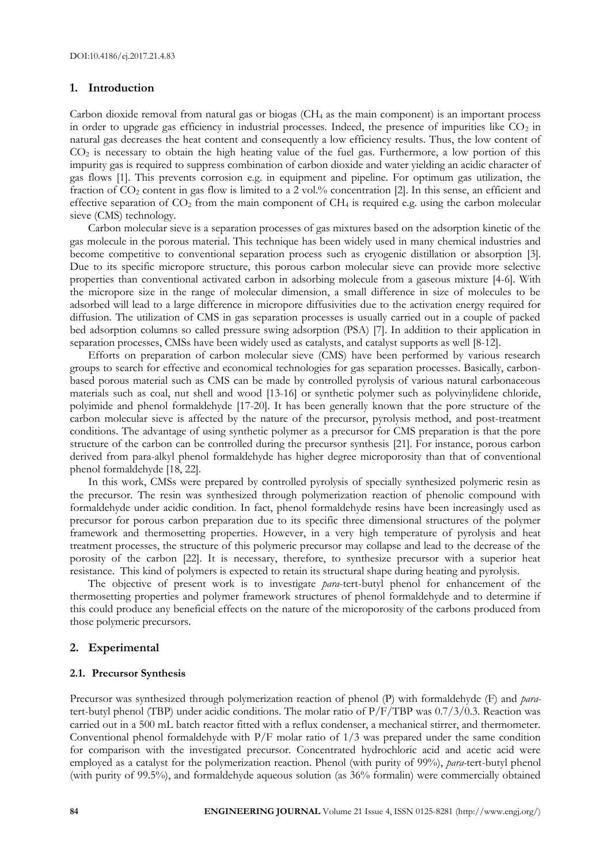## **1. Introduction**

Carbon dioxide removal from natural gas or biogas  $(CH<sub>4</sub>$  as the main component) is an important process in order to upgrade gas efficiency in industrial processes. Indeed, the presence of impurities like  $CO<sub>2</sub>$  in natural gas decreases the heat content and consequently a low efficiency results. Thus, the low content of  $CO<sub>2</sub>$  is necessary to obtain the high heating value of the fuel gas. Furthermore, a low portion of this impurity gas is required to suppress combination of carbon dioxide and water yielding an acidic character of gas flows [1]. This prevents corrosion e.g. in equipment and pipeline. For optimum gas utilization, the fraction of CO<sub>2</sub> content in gas flow is limited to a 2 vol.% concentration [2]. In this sense, an efficient and effective separation of  $CO<sub>2</sub>$  from the main component of  $CH<sub>4</sub>$  is required e.g. using the carbon molecular sieve (CMS) technology.

Carbon molecular sieve is a separation processes of gas mixtures based on the adsorption kinetic of the gas molecule in the porous material. This technique has been widely used in many chemical industries and become competitive to conventional separation process such as cryogenic distillation or absorption [3]. Due to its specific micropore structure, this porous carbon molecular sieve can provide more selective properties than conventional activated carbon in adsorbing molecule from a gaseous mixture [4-6]. With the micropore size in the range of molecular dimension, a small difference in size of molecules to be adsorbed will lead to a large difference in micropore diffusivities due to the activation energy required for diffusion. The utilization of CMS in gas separation processes is usually carried out in a couple of packed bed adsorption columns so called pressure swing adsorption (PSA) [7]. In addition to their application in separation processes, CMSs have been widely used as catalysts, and catalyst supports as well [8-12].

Efforts on preparation of carbon molecular sieve (CMS) have been performed by various research groups to search for effective and economical technologies for gas separation processes. Basically, carbonbased porous material such as CMS can be made by controlled pyrolysis of various natural carbonaceous materials such as coal, nut shell and wood [13-16] or synthetic polymer such as polyvinylidene chloride, polyimide and phenol formaldehyde [17-20]. It has been generally known that the pore structure of the carbon molecular sieve is affected by the nature of the precursor, pyrolysis method, and post-treatment conditions. The advantage of using synthetic polymer as a precursor for CMS preparation is that the pore structure of the carbon can be controlled during the precursor synthesis [21]. For instance, porous carbon derived from para-alkyl phenol formaldehyde has higher degree microporosity than that of conventional phenol formaldehyde [18, 22].

In this work, CMSs were prepared by controlled pyrolysis of specially synthesized polymeric resin as the precursor. The resin was synthesized through polymerization reaction of phenolic compound with formaldehyde under acidic condition. In fact, phenol formaldehyde resins have been increasingly used as precursor for porous carbon preparation due to its specific three dimensional structures of the polymer framework and thermosetting properties. However, in a very high temperature of pyrolysis and heat treatment processes, the structure of this polymeric precursor may collapse and lead to the decrease of the porosity of the carbon [22]. It is necessary, therefore, to synthesize precursor with a superior heat resistance. This kind of polymers is expected to retain its structural shape during heating and pyrolysis.

The objective of present work is to investigate *para*-tert-butyl phenol for enhancement of the thermosetting properties and polymer framework structures of phenol formaldehyde and to determine if this could produce any beneficial effects on the nature of the microporosity of the carbons produced from those polymeric precursors.

#### **2. Experimental**

#### **2.1. Precursor Synthesis**

Precursor was synthesized through polymerization reaction of phenol (P) with formaldehyde (F) and *para*tert-butyl phenol (TBP) under acidic conditions. The molar ratio of P/F/TBP was 0.7/3/0.3. Reaction was carried out in a 500 mL batch reactor fitted with a reflux condenser, a mechanical stirrer, and thermometer. Conventional phenol formaldehyde with  $P/F$  molar ratio of  $1/3$  was prepared under the same condition for comparison with the investigated precursor. Concentrated hydrochloric acid and acetic acid were employed as a catalyst for the polymerization reaction. Phenol (with purity of 99%), *para-*tert-butyl phenol (with purity of 99.5%), and formaldehyde aqueous solution (as 36% formalin) were commercially obtained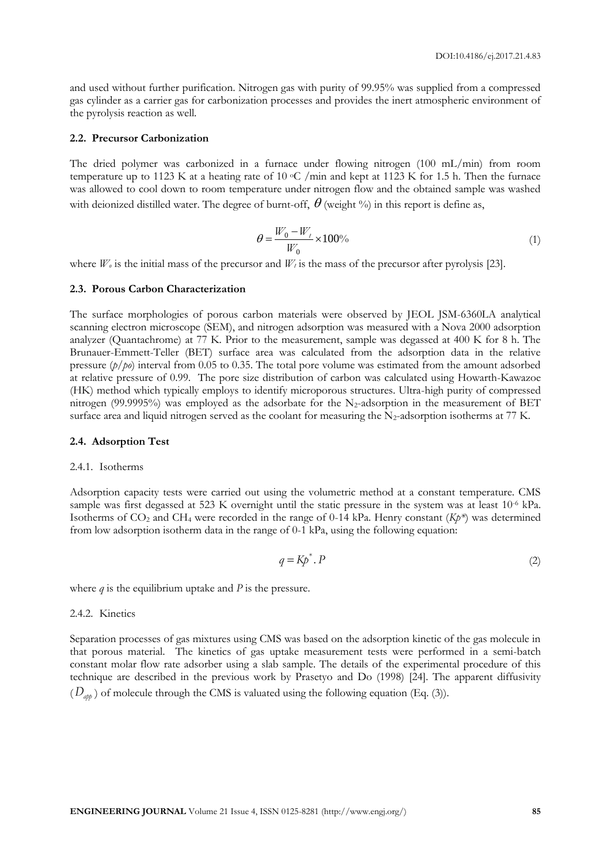and used without further purification. Nitrogen gas with purity of 99.95% was supplied from a compressed gas cylinder as a carrier gas for carbonization processes and provides the inert atmospheric environment of the pyrolysis reaction as well.

#### **2.2. Precursor Carbonization**

The dried polymer was carbonized in a furnace under flowing nitrogen (100 mL/min) from room temperature up to 1123 K at a heating rate of 10  $\rm{^{\circ}C}$  /min and kept at 1123 K for 1.5 h. Then the furnace was allowed to cool down to room temperature under nitrogen flow and the obtained sample was washed with deionized distilled water. The degree of burnt-off,  $\theta$  (weight %) in this report is define as,

$$
\theta = \frac{W_0 - W_t}{W_0} \times 100\% \tag{1}
$$

where  $W_0$  is the initial mass of the precursor and  $W_t$  is the mass of the precursor after pyrolysis [23].

#### **2.3. Porous Carbon Characterization**

The surface morphologies of porous carbon materials were observed by JEOL JSM-6360LA analytical scanning electron microscope (SEM), and nitrogen adsorption was measured with a Nova 2000 adsorption analyzer (Quantachrome) at 77 K. Prior to the measurement, sample was degassed at 400 K for 8 h. The Brunauer-Emmett-Teller (BET) surface area was calculated from the adsorption data in the relative pressure (*p/po*) interval from 0.05 to 0.35. The total pore volume was estimated from the amount adsorbed at relative pressure of 0.99. The pore size distribution of carbon was calculated using Howarth-Kawazoe (HK) method which typically employs to identify microporous structures. Ultra-high purity of compressed nitrogen (99.9995%) was employed as the adsorbate for the N<sub>2</sub>-adsorption in the measurement of BET surface area and liquid nitrogen served as the coolant for measuring the  $N_2$ -adsorption isotherms at 77 K.

#### **2.4. Adsorption Test**

#### 2.4.1. Isotherms

Adsorption capacity tests were carried out using the volumetric method at a constant temperature. CMS sample was first degassed at 523 K overnight until the static pressure in the system was at least 10<sup>-6</sup> kPa. Isotherms of CO<sup>2</sup> and CH<sup>4</sup> were recorded in the range of 0-14 kPa. Henry constant (*Kp\**) was determined from low adsorption isotherm data in the range of 0-1 kPa, using the following equation:

$$
q = Kp^* \cdot P \tag{2}
$$

where  $q$  is the equilibrium uptake and  $P$  is the pressure.

#### 2.4.2. Kinetics

Separation processes of gas mixtures using CMS was based on the adsorption kinetic of the gas molecule in that porous material. The kinetics of gas uptake measurement tests were performed in a semi-batch constant molar flow rate adsorber using a slab sample. The details of the experimental procedure of this technique are described in the previous work by Prasetyo and Do (1998) [24]. The apparent diffusivity  $(D_{\text{app}})$  of molecule through the CMS is valuated using the following equation (Eq. (3)).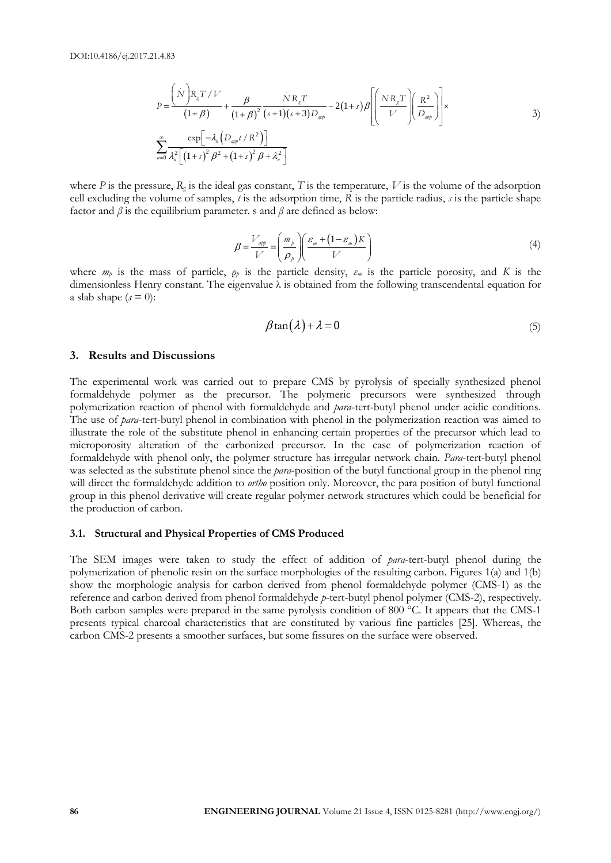1.4.83  
\n
$$
P = \frac{\left(\dot{N}\right)R_{g}T/V}{\left(1+\beta\right)} + \frac{\beta}{\left(1+\beta\right)^{2}}\frac{\dot{N}R_{g}T}{\left(s+1\right)\left(s+3\right)D_{app}} - 2\left(1+s\right)\beta \left[\left(\frac{\dot{N}R_{g}T}{V}\right)\left(\frac{R^{2}}{D_{app}}\right)\right] \times
$$
\n
$$
\sum_{n=0}^{\infty} \frac{\exp\left[-\lambda_{n}\left(D_{app}/R^{2}\right)\right]}{\lambda_{n}^{2}\left[\left(1+s\right)^{2}\beta^{2}+\left(1+s\right)^{2}\beta+\lambda_{n}^{2}\right]}
$$
\n3)

where *P* is the pressure,  $R_g$  is the ideal gas constant, *T* is the temperature, *V* is the volume of the adsorption cell excluding the volume of samples, *t* is the adsorption time, *R* is the particle radius, *s* is the particle shape factor and  $\beta$  is the equilibrium parameter. s and  $\beta$  are defined as below:

$$
\beta = \frac{V_{app}}{V} = \left(\frac{m_p}{\rho_p}\right) \left(\frac{\varepsilon_m + (1 - \varepsilon_m)K}{V}\right)
$$
\n(4)

where *m<sup>p</sup>* is the mass of particle, *ρ<sup>p</sup>* is the particle density, *ε<sup>m</sup>* is the particle porosity, and *K* is the dimensionless Henry constant. The eigenvalue λ is obtained from the following transcendental equation for a slab shape  $(s = 0)$ :

$$
\beta \tan(\lambda) + \lambda = 0 \tag{5}
$$

#### **3. Results and Discussions**

**8 Engine The space of the state of the state of CMS** Product in the state point of the state point of the state of  $\frac{1}{2}$  and  $\frac{1}{2}$  and  $\frac{1}{2}$  and  $\frac{1}{2}$  and  $\frac{1}{2}$  and  $\frac{1}{2}$  and  $\frac{1}{2}$  and  $\frac{1$ The experimental work was carried out to prepare CMS by pyrolysis of specially synthesized phenol formaldehyde polymer as the precursor. The polymeric precursors were synthesized through polymerization reaction of phenol with formaldehyde and *para*-tert-butyl phenol under acidic conditions. The use of *para*-tert-butyl phenol in combination with phenol in the polymerization reaction was aimed to illustrate the role of the substitute phenol in enhancing certain properties of the precursor which lead to microporosity alteration of the carbonized precursor. In the case of polymerization reaction of formaldehyde with phenol only, the polymer structure has irregular network chain. *Para*-tert-butyl phenol was selected as the substitute phenol since the *para*-position of the butyl functional group in the phenol ring will direct the formaldehyde addition to *ortho* position only. Moreover, the para position of butyl functional group in this phenol derivative will create regular polymer network structures which could be beneficial for the production of carbon.

#### **3.1. Structural and Physical Properties of CMS Produced**

The SEM images were taken to study the effect of addition of *para*-tert-butyl phenol during the polymerization of phenolic resin on the surface morphologies of the resulting carbon. Figures 1(a) and 1(b) show the morphologic analysis for carbon derived from phenol formaldehyde polymer (CMS-1) as the reference and carbon derived from phenol formaldehyde *p*-tert-butyl phenol polymer (CMS-2), respectively. Both carbon samples were prepared in the same pyrolysis condition of 800 °C. It appears that the CMS-1 presents typical charcoal characteristics that are constituted by various fine particles [25]. Whereas, the carbon CMS-2 presents a smoother surfaces, but some fissures on the surface were observed.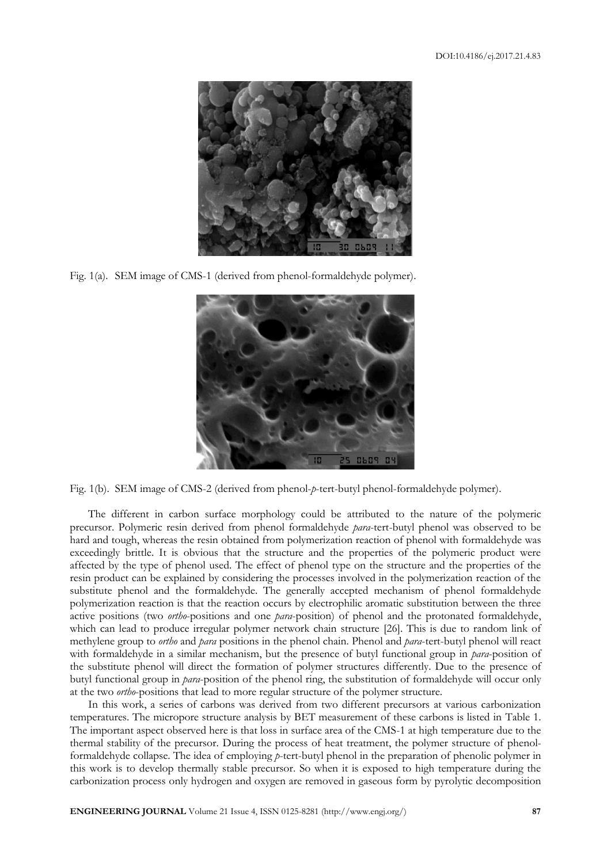

Fig. 1(a). SEM image of CMS-1 (derived from phenol-formaldehyde polymer).



Fig. 1(b). SEM image of CMS-2 (derived from phenol-*p*-tert-butyl phenol-formaldehyde polymer).

The different in carbon surface morphology could be attributed to the nature of the polymeric precursor. Polymeric resin derived from phenol formaldehyde *para*-tert-butyl phenol was observed to be hard and tough, whereas the resin obtained from polymerization reaction of phenol with formaldehyde was exceedingly brittle. It is obvious that the structure and the properties of the polymeric product were affected by the type of phenol used. The effect of phenol type on the structure and the properties of the resin product can be explained by considering the processes involved in the polymerization reaction of the substitute phenol and the formaldehyde. The generally accepted mechanism of phenol formaldehyde polymerization reaction is that the reaction occurs by electrophilic aromatic substitution between the three active positions (two *ortho*-positions and one *para*-position) of phenol and the protonated formaldehyde, which can lead to produce irregular polymer network chain structure [26]. This is due to random link of methylene group to *ortho* and *para* positions in the phenol chain. Phenol and *para*-tert-butyl phenol will react with formaldehyde in a similar mechanism, but the presence of butyl functional group in *para*-position of the substitute phenol will direct the formation of polymer structures differently. Due to the presence of butyl functional group in *para*-position of the phenol ring, the substitution of formaldehyde will occur only at the two *ortho*-positions that lead to more regular structure of the polymer structure.

In this work, a series of carbons was derived from two different precursors at various carbonization temperatures. The micropore structure analysis by BET measurement of these carbons is listed in Table 1. The important aspect observed here is that loss in surface area of the CMS-1 at high temperature due to the thermal stability of the precursor. During the process of heat treatment, the polymer structure of phenolformaldehyde collapse. The idea of employing *p*-tert-butyl phenol in the preparation of phenolic polymer in this work is to develop thermally stable precursor. So when it is exposed to high temperature during the carbonization process only hydrogen and oxygen are removed in gaseous form by pyrolytic decomposition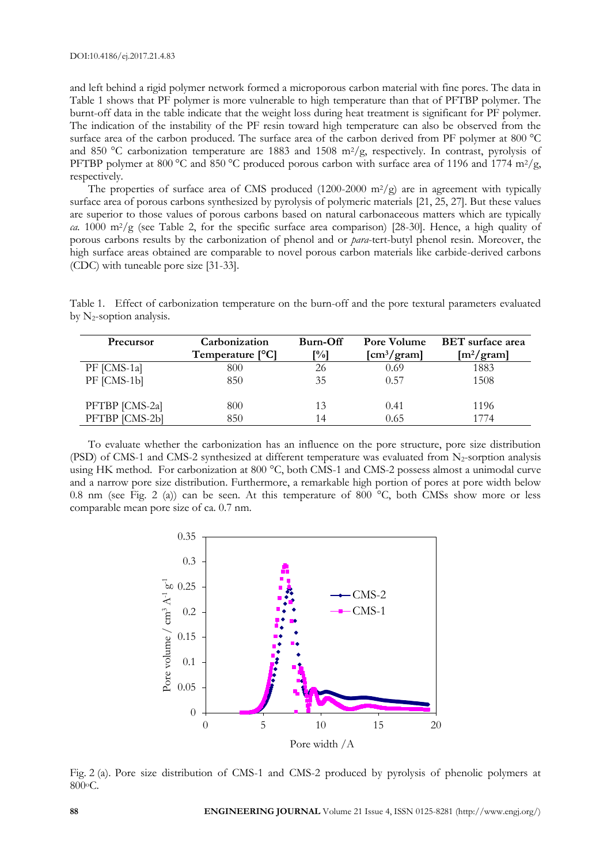and left behind a rigid polymer network formed a microporous carbon material with fine pores. The data in Table 1 shows that PF polymer is more vulnerable to high temperature than that of PFTBP polymer. The burnt-off data in the table indicate that the weight loss during heat treatment is significant for PF polymer. The indication of the instability of the PF resin toward high temperature can also be observed from the surface area of the carbon produced. The surface area of the carbon derived from PF polymer at 800 °C and 850 °C carbonization temperature are 1883 and 1508 m<sup>2</sup>/g, respectively. In contrast, pyrolysis of PFTBP polymer at 800 °C and 850 °C produced porous carbon with surface area of 1196 and 1774 m<sup>2</sup>/g, respectively.

The properties of surface area of CMS produced  $(1200-2000 \text{ m}^2/\text{g})$  are in agreement with typically surface area of porous carbons synthesized by pyrolysis of polymeric materials [21, 25, 27]. But these values are superior to those values of porous carbons based on natural carbonaceous matters which are typically *ca.* 1000 m2/g (see Table 2, for the specific surface area comparison) [28-30]. Hence, a high quality of porous carbons results by the carbonization of phenol and or *para*-tert-butyl phenol resin. Moreover, the high surface areas obtained are comparable to novel porous carbon materials like carbide-derived carbons (CDC) with tuneable pore size [31-33].

Table 1. Effect of carbonization temperature on the burn-off and the pore textural parameters evaluated by  $N_2$ -soption analysis.

| Precursor      | Carbonization<br>Temperature [ <sup>o</sup> C] | Burn-Off<br>[%] | Pore Volume<br>$\left[ \text{cm}^3/\text{gram} \right]$ | <b>BET</b> surface area<br>$\left[\text{m}^2/\text{gram}\right]$ |
|----------------|------------------------------------------------|-----------------|---------------------------------------------------------|------------------------------------------------------------------|
| PF [CMS-1a]    | 800                                            | 26              | 0.69                                                    | 1883                                                             |
| PF [CMS-1b]    | 850                                            | 35              | 0.57                                                    | 1508                                                             |
| PFTBP [CMS-2a] | 800                                            | 13              | 0.41                                                    | 1196                                                             |
| PFTBP [CMS-2b] | 850                                            | 14              | 0.65                                                    | 1774                                                             |

To evaluate whether the carbonization has an influence on the pore structure, pore size distribution (PSD) of CMS-1 and CMS-2 synthesized at different temperature was evaluated from  $N_2$ -sorption analysis using HK method. For carbonization at 800 °C, both CMS-1 and CMS-2 possess almost a unimodal curve and a narrow pore size distribution. Furthermore, a remarkable high portion of pores at pore width below 0.8 nm (see Fig. 2 (a)) can be seen. At this temperature of 800 °C, both CMSs show more or less comparable mean pore size of ca. 0.7 nm.



Fig. 2 (a). Pore size distribution of CMS-1 and CMS-2 produced by pyrolysis of phenolic polymers at 800oC.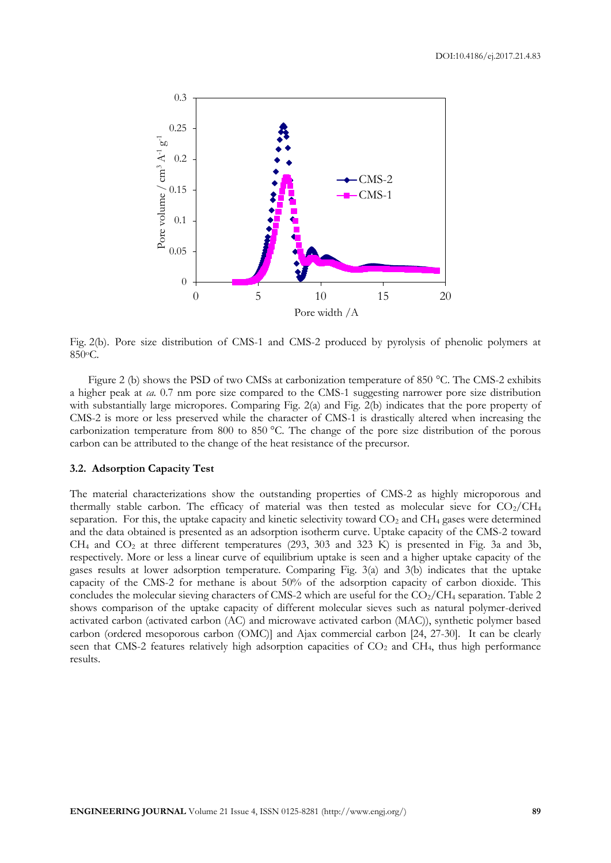

Fig. 2(b). Pore size distribution of CMS-1 and CMS-2 produced by pyrolysis of phenolic polymers at 850oC.

Figure 2 (b) shows the PSD of two CMSs at carbonization temperature of 850 °C. The CMS-2 exhibits a higher peak at *ca.* 0.7 nm pore size compared to the CMS-1 suggesting narrower pore size distribution with substantially large micropores. Comparing Fig. 2(a) and Fig. 2(b) indicates that the pore property of CMS-2 is more or less preserved while the character of CMS-1 is drastically altered when increasing the carbonization temperature from 800 to 850 °C. The change of the pore size distribution of the porous carbon can be attributed to the change of the heat resistance of the precursor.

#### **3.2. Adsorption Capacity Test**

The material characterizations show the outstanding properties of CMS-2 as highly microporous and thermally stable carbon. The efficacy of material was then tested as molecular sieve for  $CO_2/CH_4$ separation. For this, the uptake capacity and kinetic selectivity toward  $CO<sub>2</sub>$  and  $CH<sub>4</sub>$  gases were determined and the data obtained is presented as an adsorption isotherm curve. Uptake capacity of the CMS-2 toward  $CH_4$  and  $CO_2$  at three different temperatures (293, 303 and 323 K) is presented in Fig. 3a and 3b, respectively. More or less a linear curve of equilibrium uptake is seen and a higher uptake capacity of the gases results at lower adsorption temperature. Comparing Fig. 3(a) and 3(b) indicates that the uptake capacity of the CMS-2 for methane is about 50% of the adsorption capacity of carbon dioxide. This concludes the molecular sieving characters of CMS-2 which are useful for the  $CO_2/CH_4$  separation. Table 2 shows comparison of the uptake capacity of different molecular sieves such as natural polymer-derived activated carbon (activated carbon (AC) and microwave activated carbon (MAC)), synthetic polymer based carbon (ordered mesoporous carbon (OMC)] and Ajax commercial carbon [24, 27-30]. It can be clearly seen that CMS-2 features relatively high adsorption capacities of CO<sub>2</sub> and CH<sub>4</sub>, thus high performance results.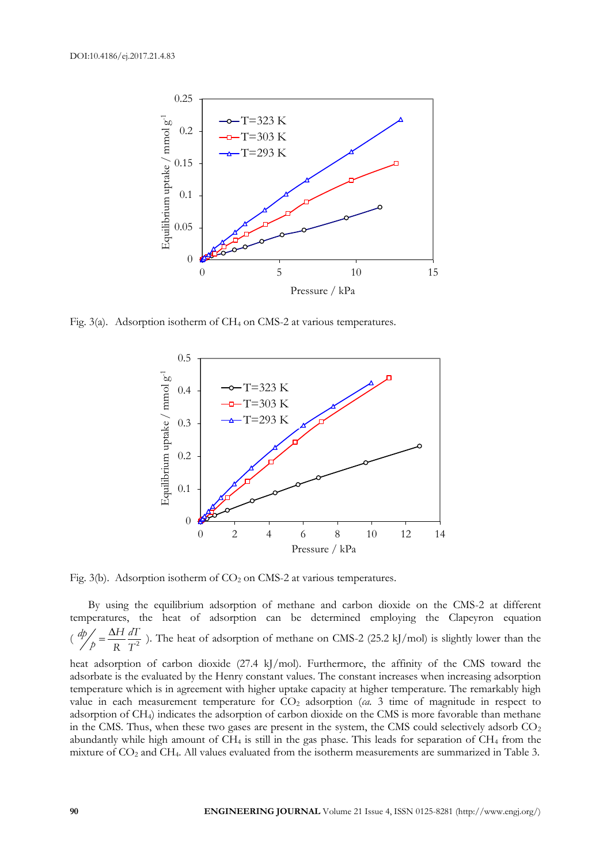

Fig. 3(a). Adsorption isotherm of CH<sub>4</sub> on CMS-2 at various temperatures.



Fig. 3(b). Adsorption isotherm of  $CO<sub>2</sub>$  on CMS-2 at various temperatures.

By using the equilibrium adsorption of methane and carbon dioxide on the CMS-2 at different temperatures, the heat of adsorption can be determined employing the Clapeyron equation (  $\frac{dp}{p} = \frac{\Delta H}{p} \frac{dT}{T^2}$  $p - \frac{E}{R}$  $=\frac{\Delta H}{\Delta} \frac{dT}{dt}$ ). The heat of adsorption of methane on CMS-2 (25.2 kJ/mol) is slightly lower than the

heat adsorption of carbon dioxide (27.4 kJ/mol). Furthermore, the affinity of the CMS toward the adsorbate is the evaluated by the Henry constant values. The constant increases when increasing adsorption temperature which is in agreement with higher uptake capacity at higher temperature. The remarkably high value in each measurement temperature for CO<sub>2</sub> adsorption (*ca.* 3 time of magnitude in respect to adsorption of CH4) indicates the adsorption of carbon dioxide on the CMS is more favorable than methane in the CMS. Thus, when these two gases are present in the system, the CMS could selectively adsorb  $CO<sub>2</sub>$ abundantly while high amount of CH<sub>4</sub> is still in the gas phase. This leads for separation of CH<sub>4</sub> from the mixture of CO<sup>2</sup> and CH4. All values evaluated from the isotherm measurements are summarized in Table 3.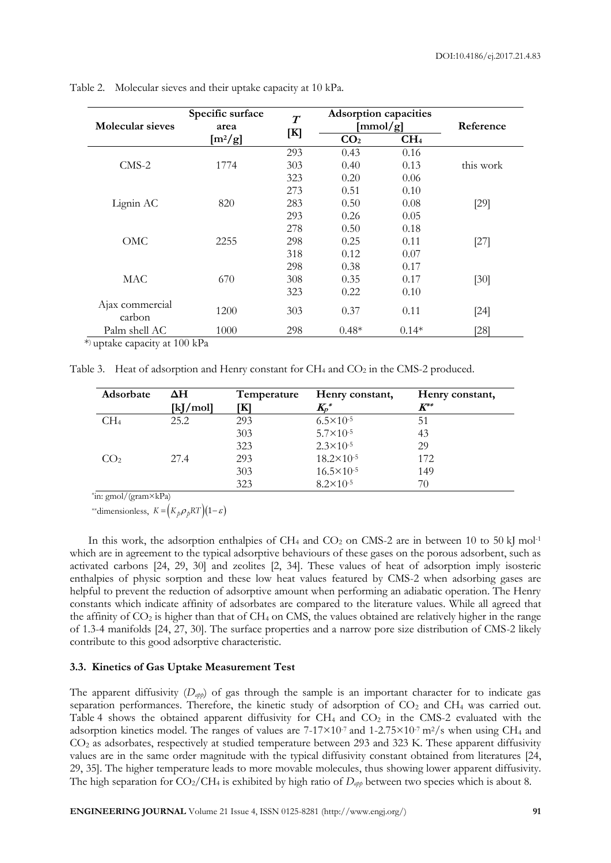| Molecular sieves          | Specific surface<br>area | $\boldsymbol{T}$<br>[K] | <b>Adsorption capacities</b><br>$\text{[mmol/g]}$ |                 | Reference |
|---------------------------|--------------------------|-------------------------|---------------------------------------------------|-----------------|-----------|
|                           | $[m^2/g]$                |                         | CO <sub>2</sub>                                   | CH <sub>4</sub> |           |
| $CMS-2$                   |                          | 293                     | 0.43                                              | 0.16            |           |
|                           | 1774                     | 303                     | 0.40                                              | 0.13            | this work |
|                           |                          | 323                     | 0.20                                              | 0.06            |           |
| Lignin AC                 | 820                      | 273                     | 0.51                                              | 0.10            |           |
|                           |                          | 283                     | 0.50                                              | 0.08            | $[29]$    |
|                           |                          | 293                     | 0.26                                              | 0.05            |           |
| OMC                       | 2255                     | 278                     | 0.50                                              | 0.18            |           |
|                           |                          | 298                     | 0.25                                              | 0.11            | $[27]$    |
|                           |                          | 318                     | 0.12                                              | 0.07            |           |
| <b>MAC</b>                | 670                      | 298                     | 0.38                                              | 0.17            |           |
|                           |                          | 308                     | 0.35                                              | 0.17            | [30]      |
|                           |                          | 323                     | 0.22                                              | 0.10            |           |
| Ajax commercial<br>carbon | 1200                     | 303                     | 0.37                                              | 0.11            | $[24]$    |
| Palm shell AC             | 1000                     | 298                     | $0.48*$                                           | $0.14*$         | 28]       |

Table 2. Molecular sieves and their uptake capacity at 10 kPa.

\* ) uptake capacity at 100 kPa

Table 3. Heat of adsorption and Henry constant for  $CH_4$  and  $CO_2$  in the CMS-2 produced.

| Adsorbate       | ΔH               | Temperature | Henry constant,       | Henry constant, |
|-----------------|------------------|-------------|-----------------------|-----------------|
|                 | $[k]/\text{mol}$ | ſКl         | $K_p^*$               | $K^{**}$        |
| CH <sub>4</sub> | 25.2             | 293         | $6.5 \times 10^{-5}$  | 51              |
|                 |                  | 303         | $5.7 \times 10^{-5}$  | 43              |
|                 |                  | 323         | $2.3 \times 10^{-5}$  | 29              |
| CO <sub>2</sub> | 27.4             | 293         | $18.2 \times 10^{-5}$ | 172             |
|                 |                  | 303         | $16.5 \times 10^{-5}$ | 149             |
|                 |                  | 323         | $8.2 \times 10^{-5}$  | 70              |

\* in: gmol/(gram×kPa)

\*\*dimensionless,  $K = (K_p \rho_p RT)(1 - \varepsilon)$ 

In this work, the adsorption enthalpies of CH<sub>4</sub> and CO<sub>2</sub> on CMS-2 are in between 10 to 50 kJ mol<sup>-1</sup> which are in agreement to the typical adsorptive behaviours of these gases on the porous adsorbent, such as activated carbons [24, 29, 30] and zeolites [2, 34]. These values of heat of adsorption imply isosteric enthalpies of physic sorption and these low heat values featured by CMS-2 when adsorbing gases are helpful to prevent the reduction of adsorptive amount when performing an adiabatic operation. The Henry constants which indicate affinity of adsorbates are compared to the literature values. While all agreed that the affinity of  $CO_2$  is higher than that of  $CH_4$  on CMS, the values obtained are relatively higher in the range of 1.3-4 manifolds [24, 27, 30]. The surface properties and a narrow pore size distribution of CMS-2 likely contribute to this good adsorptive characteristic.

### **3.3. Kinetics of Gas Uptake Measurement Test**

The apparent diffusivity  $(D_{\alpha \rho \rho})$  of gas through the sample is an important character for to indicate gas separation performances. Therefore, the kinetic study of adsorption of CO<sub>2</sub> and CH<sub>4</sub> was carried out. Table 4 shows the obtained apparent diffusivity for  $CH_4$  and  $CO_2$  in the CMS-2 evaluated with the adsorption kinetics model. The ranges of values are  $7-17\times10^{-7}$  and  $1-2.75\times10^{-7}$  m<sup>2</sup>/s when using CH<sub>4</sub> and CO<sup>2</sup> as adsorbates, respectively at studied temperature between 293 and 323 K. These apparent diffusivity values are in the same order magnitude with the typical diffusivity constant obtained from literatures [24, 29, 35]. The higher temperature leads to more movable molecules, thus showing lower apparent diffusivity. The high separation for  $CO_2/CH_4$  is exhibited by high ratio of  $D_{app}$  between two species which is about 8.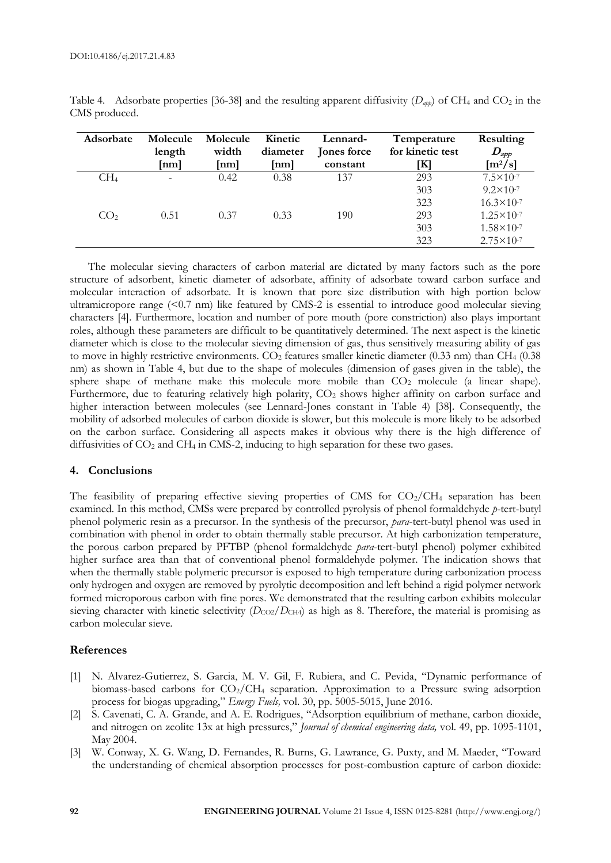| Adsorbate       | Molecule<br>length<br>[nm] | Molecule<br>width<br>[nm] | Kinetic<br>diameter<br>$\lceil nm \rceil$ | Lennard-<br>Jones force<br>constant | Temperature<br>for kinetic test<br>ſЮ | Resulting<br>$\bm{D}_{app}$<br>$\left[\frac{m^2}{s}\right]$ |
|-----------------|----------------------------|---------------------------|-------------------------------------------|-------------------------------------|---------------------------------------|-------------------------------------------------------------|
| CH <sub>4</sub> | $\overline{\phantom{a}}$   | 0.42                      | 0.38                                      | 137                                 | 293                                   | $7.5 \times 10^{-7}$                                        |
|                 |                            |                           |                                           |                                     | 303                                   | $9.2 \times 10^{-7}$                                        |
|                 |                            |                           |                                           |                                     | 323                                   | $16.3 \times 10^{-7}$                                       |
| CO <sub>2</sub> | 0.51                       | 0.37                      | 0.33                                      | 190                                 | 293                                   | $1.25 \times 10^{-7}$                                       |
|                 |                            |                           |                                           |                                     | 303                                   | $1.58 \times 10^{-7}$                                       |
|                 |                            |                           |                                           |                                     | 323                                   | $2.75 \times 10^{-7}$                                       |

Table 4. Adsorbate properties [36-38] and the resulting apparent diffusivity  $(D_{\alpha p\rho})$  of CH<sub>4</sub> and CO<sub>2</sub> in the CMS produced.

The molecular sieving characters of carbon material are dictated by many factors such as the pore structure of adsorbent, kinetic diameter of adsorbate, affinity of adsorbate toward carbon surface and molecular interaction of adsorbate. It is known that pore size distribution with high portion below ultramicropore range (<0.7 nm) like featured by CMS-2 is essential to introduce good molecular sieving characters [4]. Furthermore, location and number of pore mouth (pore constriction) also plays important roles, although these parameters are difficult to be quantitatively determined. The next aspect is the kinetic diameter which is close to the molecular sieving dimension of gas, thus sensitively measuring ability of gas to move in highly restrictive environments.  $CO_2$  features smaller kinetic diameter (0.33 nm) than  $CH_4$  (0.38 nm) as shown in Table 4, but due to the shape of molecules (dimension of gases given in the table), the sphere shape of methane make this molecule more mobile than  $CO<sub>2</sub>$  molecule (a linear shape). Furthermore, due to featuring relatively high polarity,  $CO<sub>2</sub>$  shows higher affinity on carbon surface and higher interaction between molecules (see Lennard-Jones constant in Table 4) [38]. Consequently, the mobility of adsorbed molecules of carbon dioxide is slower, but this molecule is more likely to be adsorbed on the carbon surface. Considering all aspects makes it obvious why there is the high difference of diffusivities of  $CO<sub>2</sub>$  and  $CH<sub>4</sub>$  in CMS-2, inducing to high separation for these two gases.

### **4. Conclusions**

The feasibility of preparing effective sieving properties of CMS for  $CO<sub>2</sub>/CH<sub>4</sub>$  separation has been examined. In this method, CMSs were prepared by controlled pyrolysis of phenol formaldehyde *p*-tert-butyl phenol polymeric resin as a precursor. In the synthesis of the precursor, *para*-tert-butyl phenol was used in combination with phenol in order to obtain thermally stable precursor. At high carbonization temperature, the porous carbon prepared by PFTBP (phenol formaldehyde *para*-tert-butyl phenol) polymer exhibited higher surface area than that of conventional phenol formaldehyde polymer. The indication shows that when the thermally stable polymeric precursor is exposed to high temperature during carbonization process only hydrogen and oxygen are removed by pyrolytic decomposition and left behind a rigid polymer network formed microporous carbon with fine pores. We demonstrated that the resulting carbon exhibits molecular sieving character with kinetic selectivity (*D*<sub>CO2</sub>/*D*<sub>CH4</sub>) as high as 8. Therefore, the material is promising as carbon molecular sieve.

# **References**

- [1] N. Alvarez-Gutierrez, S. Garcia, M. V. Gil, F. Rubiera, and C. Pevida, "Dynamic performance of biomass-based carbons for CO2/CH<sup>4</sup> separation. Approximation to a Pressure swing adsorption process for biogas upgrading," *Energy Fuels,* vol. 30, pp. 5005-5015, June 2016.
- [2] S. Cavenati, C. A. Grande, and A. E. Rodrigues, "Adsorption equilibrium of methane, carbon dioxide, and nitrogen on zeolite 13x at high pressures," *Journal of chemical engineering data,* vol. 49, pp. 1095-1101, May 2004.
- [3] W. Conway, X. G. Wang, D. Fernandes, R. Burns, G. Lawrance, G. Puxty, and M. Maeder, "Toward the understanding of chemical absorption processes for post-combustion capture of carbon dioxide: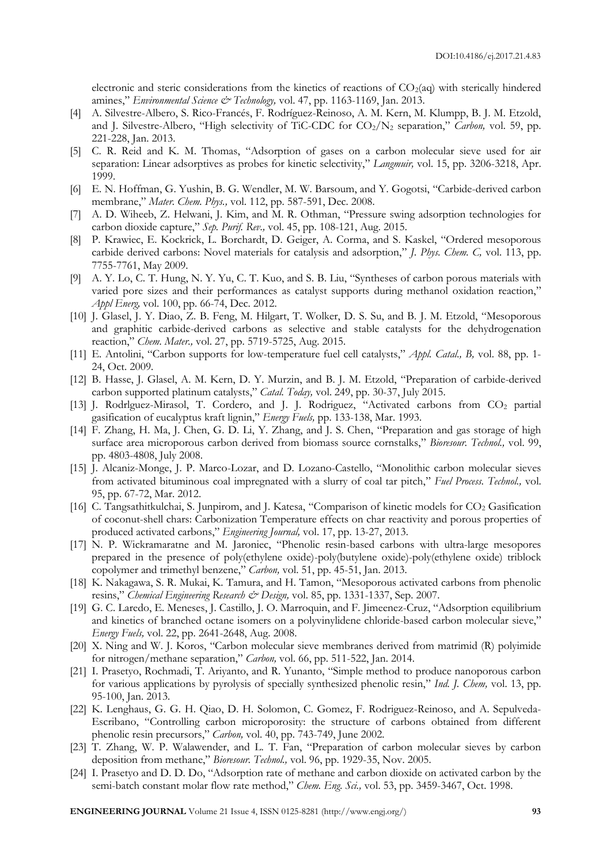electronic and steric considerations from the kinetics of reactions of  $CO<sub>2</sub>(aq)$  with sterically hindered amines," *Environmental Science & Technology,* vol. 47, pp. 1163-1169, Jan. 2013.

- [4] A. Silvestre-Albero, S. Rico-Francés, F. Rodríguez-Reinoso, A. M. Kern, M. Klumpp, B. J. M. Etzold, and J. Silvestre-Albero, "High selectivity of TiC-CDC for CO<sub>2</sub>/N<sub>2</sub> separation," *Carbon*, vol. 59, pp. 221-228, Jan. 2013.
- [5] C. R. Reid and K. M. Thomas, "Adsorption of gases on a carbon molecular sieve used for air separation: Linear adsorptives as probes for kinetic selectivity," *Langmuir,* vol. 15, pp. 3206-3218, Apr. 1999.
- [6] E. N. Hoffman, G. Yushin, B. G. Wendler, M. W. Barsoum, and Y. Gogotsi, "Carbide-derived carbon membrane," *Mater. Chem. Phys.,* vol. 112, pp. 587-591, Dec. 2008.
- [7] A. D. Wiheeb, Z. Helwani, J. Kim, and M. R. Othman, "Pressure swing adsorption technologies for carbon dioxide capture," *Sep. Purif. Rev.,* vol. 45, pp. 108-121, Aug. 2015.
- [8] P. Krawiec, E. Kockrick, L. Borchardt, D. Geiger, A. Corma, and S. Kaskel, "Ordered mesoporous carbide derived carbons: Novel materials for catalysis and adsorption," *J. Phys. Chem. C,* vol. 113, pp. 7755-7761, May 2009.
- [9] A. Y. Lo, C. T. Hung, N. Y. Yu, C. T. Kuo, and S. B. Liu, "Syntheses of carbon porous materials with varied pore sizes and their performances as catalyst supports during methanol oxidation reaction," *Appl Energ,* vol. 100, pp. 66-74, Dec. 2012.
- [10] J. Glasel, J. Y. Diao, Z. B. Feng, M. Hilgart, T. Wolker, D. S. Su, and B. J. M. Etzold, "Mesoporous and graphitic carbide-derived carbons as selective and stable catalysts for the dehydrogenation reaction," *Chem. Mater.,* vol. 27, pp. 5719-5725, Aug. 2015.
- [11] E. Antolini, "Carbon supports for low-temperature fuel cell catalysts," *Appl. Catal., B,* vol. 88, pp. 1- 24, Oct. 2009.
- [12] B. Hasse, J. Glasel, A. M. Kern, D. Y. Murzin, and B. J. M. Etzold, "Preparation of carbide-derived carbon supported platinum catalysts," *Catal. Today,* vol. 249, pp. 30-37, July 2015.
- [13] J. Rodrlguez-Mirasol, T. Cordero, and J. J. Rodriguez, "Activated carbons from CO<sup>2</sup> partial gasification of eucalyptus kraft lignin," *Energy Fuels,* pp. 133-138, Mar. 1993.
- [14] F. Zhang, H. Ma, J. Chen, G. D. Li, Y. Zhang, and J. S. Chen, "Preparation and gas storage of high surface area microporous carbon derived from biomass source cornstalks," *Bioresour. Technol.,* vol. 99, pp. 4803-4808, July 2008.
- [15] J. Alcaniz-Monge, J. P. Marco-Lozar, and D. Lozano-Castello, "Monolithic carbon molecular sieves from activated bituminous coal impregnated with a slurry of coal tar pitch," *Fuel Process. Technol.,* vol. 95, pp. 67-72, Mar. 2012.
- [16] C. Tangsathitkulchai, S. Junpirom, and J. Katesa, "Comparison of kinetic models for CO<sup>2</sup> Gasification of coconut-shell chars: Carbonization Temperature effects on char reactivity and porous properties of produced activated carbons," *Engineering Journal,* vol. 17, pp. 13-27, 2013.
- [17] N. P. Wickramaratne and M. Jaroniec, "Phenolic resin-based carbons with ultra-large mesopores prepared in the presence of poly(ethylene oxide)-poly(butylene oxide)-poly(ethylene oxide) triblock copolymer and trimethyl benzene," *Carbon,* vol. 51, pp. 45-51, Jan. 2013.
- [18] K. Nakagawa, S. R. Mukai, K. Tamura, and H. Tamon, "Mesoporous activated carbons from phenolic resins," *Chemical Engineering Research & Design,* vol. 85, pp. 1331-1337, Sep. 2007.
- [19] G. C. Laredo, E. Meneses, J. Castillo, J. O. Marroquin, and F. Jimeenez-Cruz, "Adsorption equilibrium and kinetics of branched octane isomers on a polyvinylidene chloride-based carbon molecular sieve," *Energy Fuels,* vol. 22, pp. 2641-2648, Aug. 2008.
- [20] X. Ning and W. J. Koros, "Carbon molecular sieve membranes derived from matrimid (R) polyimide for nitrogen/methane separation," *Carbon,* vol. 66, pp. 511-522, Jan. 2014.
- [21] I. Prasetyo, Rochmadi, T. Ariyanto, and R. Yunanto, "Simple method to produce nanoporous carbon for various applications by pyrolysis of specially synthesized phenolic resin," *Ind. J. Chem,* vol. 13, pp. 95-100, Jan. 2013.
- [22] K. Lenghaus, G. G. H. Qiao, D. H. Solomon, C. Gomez, F. Rodriguez-Reinoso, and A. Sepulveda-Escribano, "Controlling carbon microporosity: the structure of carbons obtained from different phenolic resin precursors," *Carbon,* vol. 40, pp. 743-749, June 2002.
- [23] T. Zhang, W. P. Walawender, and L. T. Fan, "Preparation of carbon molecular sieves by carbon deposition from methane," *Bioresour. Technol.,* vol. 96, pp. 1929-35, Nov. 2005.
- [24] I. Prasetyo and D. D. Do, "Adsorption rate of methane and carbon dioxide on activated carbon by the semi-batch constant molar flow rate method," *Chem. Eng. Sci.,* vol. 53, pp. 3459-3467, Oct. 1998.

**ENGINEERING JOURNAL** Volume 21 Issue 4, ISSN 0125-8281 (http://www.engj.org/) **93**